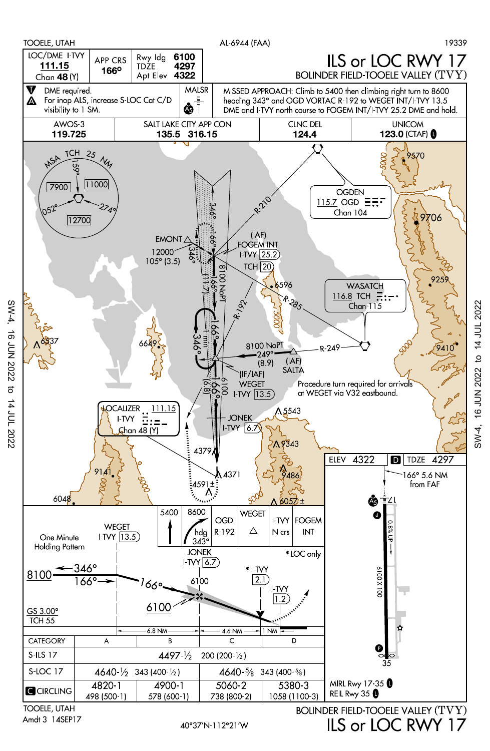

Amdt 3 14SEP17

40°37'N-112°21'W

ILS or LOC RWY 17

SW-4, 16 JUN 2022 to 14 JUL 2022

 $SW-4$ .

16 JUN 2022 to 14 JUL 2022